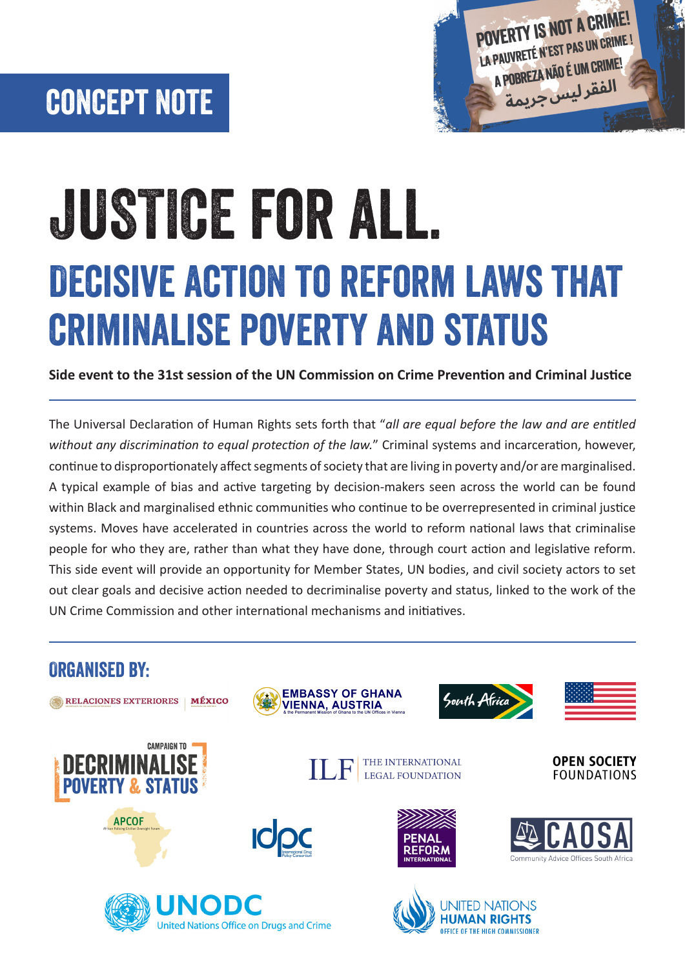# concept note



# Decisive action to reform laws that criminalise poverty and status JUSTICE for all.

**Side event to the 31st session of the UN Commission on Crime Prevention and Criminal Justice**

The Universal Declaration of Human Rights sets forth that "*all are equal before the law and are entitled without any discrimination to equal protection of the law.*" Criminal systems and incarceration, however, continue to disproportionately affect segments of society that are living in poverty and/or are marginalised. A typical example of bias and active targeting by decision-makers seen across the world can be found within Black and marginalised ethnic communities who continue to be overrepresented in criminal justice systems. Moves have accelerated in countries across the world to reform national laws that criminalise people for who they are, rather than what they have done, through court action and legislative reform. This side event will provide an opportunity for Member States, UN bodies, and civil society actors to set out clear goals and decisive action needed to decriminalise poverty and status, linked to the work of the UN Crime Commission and other international mechanisms and initiatives.